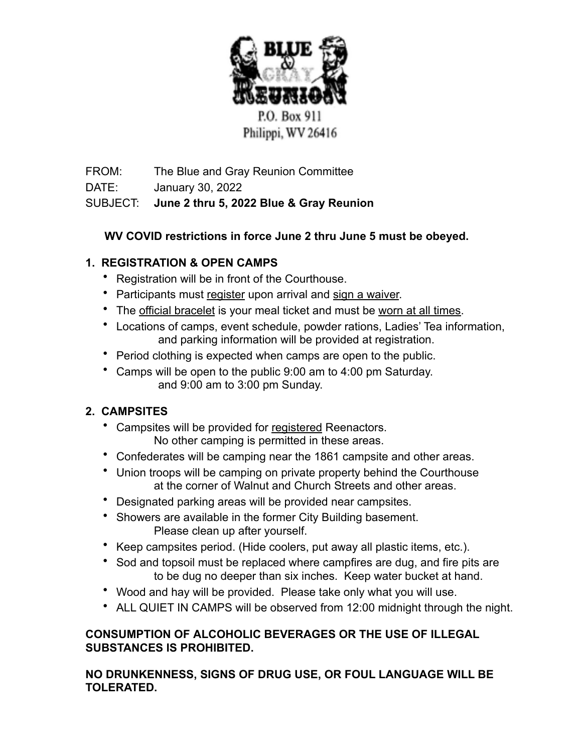

FROM: The Blue and Gray Reunion Committee

DATE: January 30, 2022

# SUBJECT: **June 2 thru 5, 2022 Blue & Gray Reunion**

## **WV COVID restrictions in force June 2 thru June 5 must be obeyed.**

# **1. REGISTRATION & OPEN CAMPS**

- Registration will be in front of the Courthouse.
- Participants must register upon arrival and sign a waiver.
- The official bracelet is your meal ticket and must be worn at all times.
- Locations of camps, event schedule, powder rations, Ladies' Tea information, and parking information will be provided at registration.
- Period clothing is expected when camps are open to the public.
- Camps will be open to the public 9:00 am to 4:00 pm Saturday. and 9:00 am to 3:00 pm Sunday.

# **2. CAMPSITES**

- Campsites will be provided for registered Reenactors. No other camping is permitted in these areas.
- Confederates will be camping near the 1861 campsite and other areas.
- Union troops will be camping on private property behind the Courthouse at the corner of Walnut and Church Streets and other areas.
- Designated parking areas will be provided near campsites.
- Showers are available in the former City Building basement. Please clean up after yourself.
- Keep campsites period. (Hide coolers, put away all plastic items, etc.).
- Sod and topsoil must be replaced where campfires are dug, and fire pits are to be dug no deeper than six inches. Keep water bucket at hand.
- Wood and hay will be provided. Please take only what you will use.
- ALL QUIET IN CAMPS will be observed from 12:00 midnight through the night.

## **CONSUMPTION OF ALCOHOLIC BEVERAGES OR THE USE OF ILLEGAL SUBSTANCES IS PROHIBITED.**

**NO DRUNKENNESS, SIGNS OF DRUG USE, OR FOUL LANGUAGE WILL BE TOLERATED.**